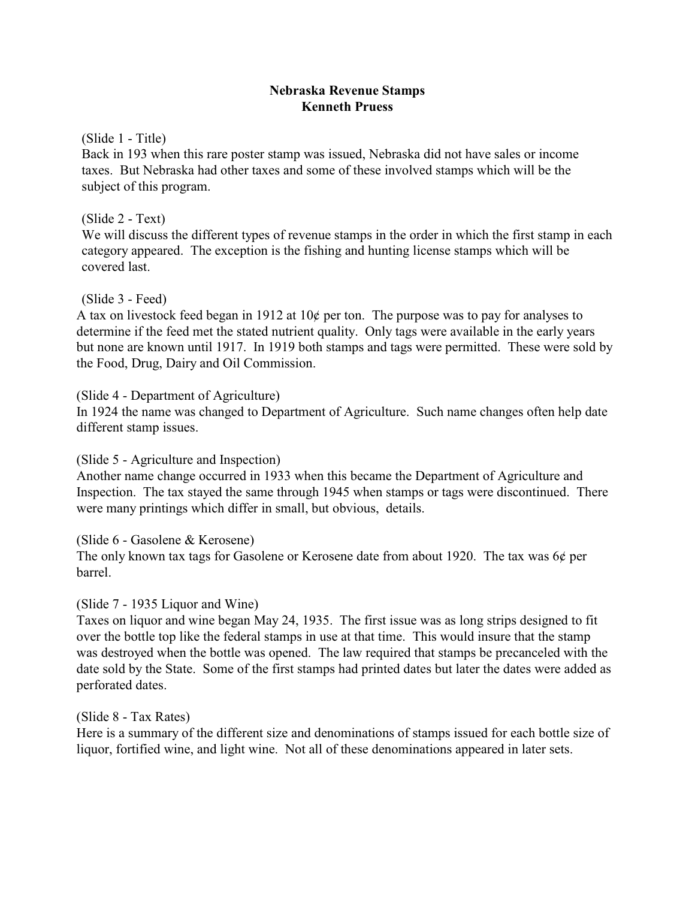## **Nebraska Revenue Stamps Kenneth Pruess**

(Slide 1 - Title)

Back in 193 when this rare poster stamp was issued, Nebraska did not have sales or income taxes. But Nebraska had other taxes and some of these involved stamps which will be the subject of this program.

## (Slide 2 - Text)

We will discuss the different types of revenue stamps in the order in which the first stamp in each category appeared. The exception is the fishing and hunting license stamps which will be covered last.

## (Slide 3 - Feed)

A tax on livestock feed began in 1912 at  $10¢$  per ton. The purpose was to pay for analyses to determine if the feed met the stated nutrient quality. Only tags were available in the early years but none are known until 1917. In 1919 both stamps and tags were permitted. These were sold by the Food, Drug, Dairy and Oil Commission.

## (Slide 4 - Department of Agriculture)

In 1924 the name was changed to Department of Agriculture. Such name changes often help date different stamp issues.

(Slide 5 - Agriculture and Inspection)

Another name change occurred in 1933 when this became the Department of Agriculture and Inspection. The tax stayed the same through 1945 when stamps or tags were discontinued. There were many printings which differ in small, but obvious, details.

(Slide 6 - Gasolene & Kerosene) The only known tax tags for Gasolene or Kerosene date from about 1920. The tax was 6¢ per barrel.

# (Slide 7 - 1935 Liquor and Wine)

Taxes on liquor and wine began May 24, 1935. The first issue was as long strips designed to fit over the bottle top like the federal stamps in use at that time. This would insure that the stamp was destroyed when the bottle was opened. The law required that stamps be precanceled with the date sold by the State. Some of the first stamps had printed dates but later the dates were added as perforated dates.

(Slide 8 - Tax Rates)

Here is a summary of the different size and denominations of stamps issued for each bottle size of liquor, fortified wine, and light wine. Not all of these denominations appeared in later sets.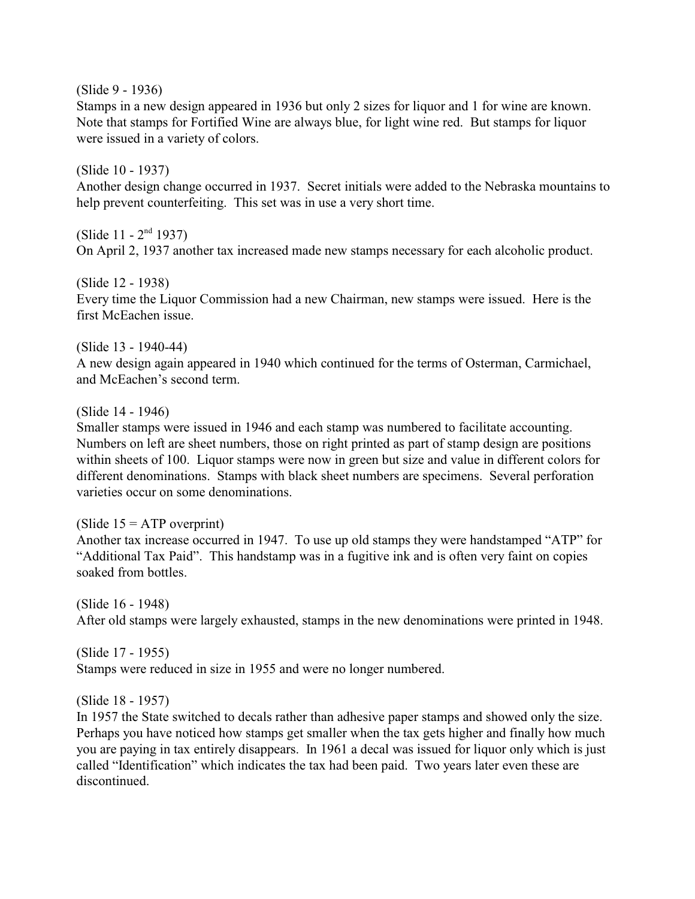(Slide 9 - 1936)

Stamps in a new design appeared in 1936 but only 2 sizes for liquor and 1 for wine are known. Note that stamps for Fortified Wine are always blue, for light wine red. But stamps for liquor were issued in a variety of colors.

(Slide 10 - 1937) Another design change occurred in 1937. Secret initials were added to the Nebraska mountains to help prevent counterfeiting. This set was in use a very short time.

(Slide  $11 - 2<sup>nd</sup>$  1937) On April 2, 1937 another tax increased made new stamps necessary for each alcoholic product.

(Slide 12 - 1938) Every time the Liquor Commission had a new Chairman, new stamps were issued. Here is the first McEachen issue.

(Slide 13 - 1940-44)

A new design again appeared in 1940 which continued for the terms of Osterman, Carmichael, and McEachen's second term.

## (Slide 14 - 1946)

Smaller stamps were issued in 1946 and each stamp was numbered to facilitate accounting. Numbers on left are sheet numbers, those on right printed as part of stamp design are positions within sheets of 100. Liquor stamps were now in green but size and value in different colors for different denominations. Stamps with black sheet numbers are specimens. Several perforation varieties occur on some denominations.

(Slide  $15 = ATP$  overprint)

Another tax increase occurred in 1947. To use up old stamps they were handstamped "ATP" for "Additional Tax Paid". This handstamp was in a fugitive ink and is often very faint on copies soaked from bottles.

(Slide 16 - 1948) After old stamps were largely exhausted, stamps in the new denominations were printed in 1948.

(Slide 17 - 1955) Stamps were reduced in size in 1955 and were no longer numbered.

(Slide 18 - 1957)

In 1957 the State switched to decals rather than adhesive paper stamps and showed only the size. Perhaps you have noticed how stamps get smaller when the tax gets higher and finally how much you are paying in tax entirely disappears. In 1961 a decal was issued for liquor only which is just called "Identification" which indicates the tax had been paid. Two years later even these are discontinued.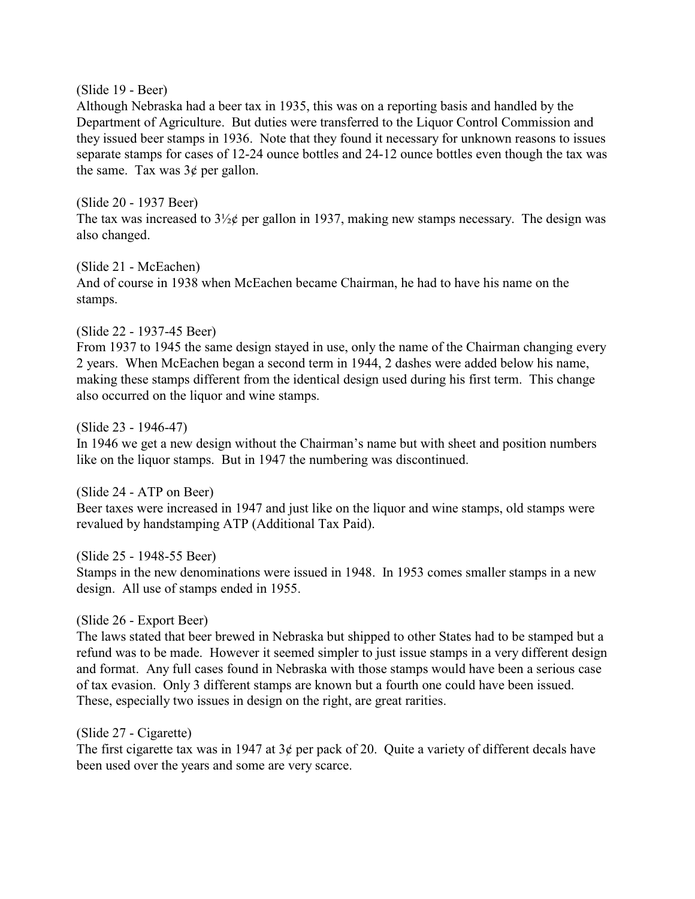### (Slide 19 - Beer)

Although Nebraska had a beer tax in 1935, this was on a reporting basis and handled by the Department of Agriculture. But duties were transferred to the Liquor Control Commission and they issued beer stamps in 1936. Note that they found it necessary for unknown reasons to issues separate stamps for cases of 12-24 ounce bottles and 24-12 ounce bottles even though the tax was the same. Tax was  $3¢$  per gallon.

### (Slide 20 - 1937 Beer)

The tax was increased to  $3\frac{1}{2}$  per gallon in 1937, making new stamps necessary. The design was also changed.

### (Slide 21 - McEachen)

And of course in 1938 when McEachen became Chairman, he had to have his name on the stamps.

# (Slide 22 - 1937-45 Beer)

From 1937 to 1945 the same design stayed in use, only the name of the Chairman changing every 2 years. When McEachen began a second term in 1944, 2 dashes were added below his name, making these stamps different from the identical design used during his first term. This change also occurred on the liquor and wine stamps.

## (Slide 23 - 1946-47)

In 1946 we get a new design without the Chairman's name but with sheet and position numbers like on the liquor stamps. But in 1947 the numbering was discontinued.

(Slide 24 - ATP on Beer) Beer taxes were increased in 1947 and just like on the liquor and wine stamps, old stamps were revalued by handstamping ATP (Additional Tax Paid).

# (Slide 25 - 1948-55 Beer)

Stamps in the new denominations were issued in 1948. In 1953 comes smaller stamps in a new design. All use of stamps ended in 1955.

# (Slide 26 - Export Beer)

The laws stated that beer brewed in Nebraska but shipped to other States had to be stamped but a refund was to be made. However it seemed simpler to just issue stamps in a very different design and format. Any full cases found in Nebraska with those stamps would have been a serious case of tax evasion. Only 3 different stamps are known but a fourth one could have been issued. These, especially two issues in design on the right, are great rarities.

# (Slide 27 - Cigarette)

The first cigarette tax was in 1947 at  $3¢$  per pack of 20. Quite a variety of different decals have been used over the years and some are very scarce.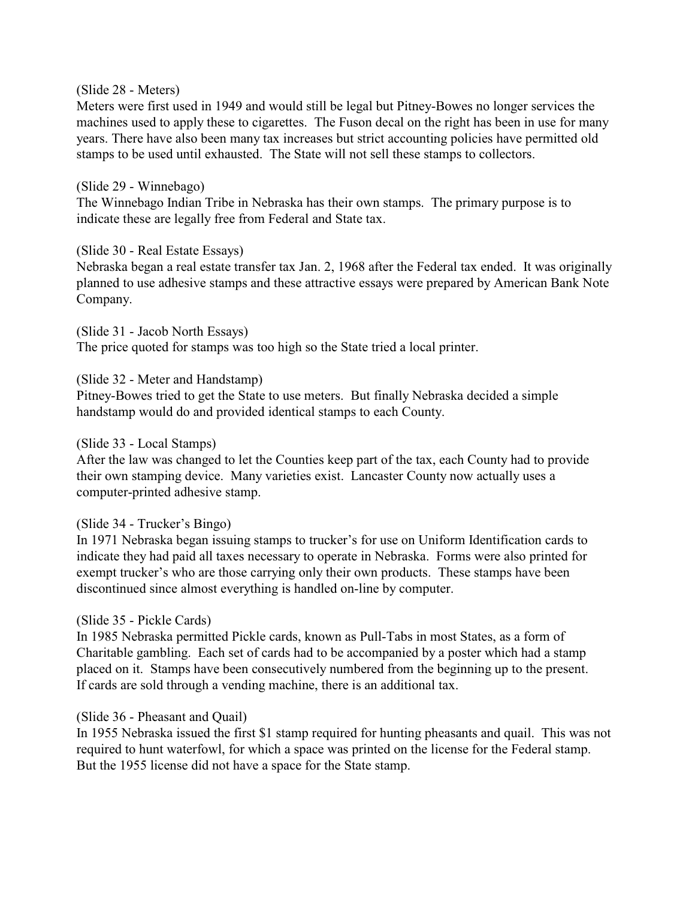#### (Slide 28 - Meters)

Meters were first used in 1949 and would still be legal but Pitney-Bowes no longer services the machines used to apply these to cigarettes. The Fuson decal on the right has been in use for many years. There have also been many tax increases but strict accounting policies have permitted old stamps to be used until exhausted. The State will not sell these stamps to collectors.

#### (Slide 29 - Winnebago)

The Winnebago Indian Tribe in Nebraska has their own stamps. The primary purpose is to indicate these are legally free from Federal and State tax.

### (Slide 30 - Real Estate Essays)

Nebraska began a real estate transfer tax Jan. 2, 1968 after the Federal tax ended. It was originally planned to use adhesive stamps and these attractive essays were prepared by American Bank Note Company.

(Slide 31 - Jacob North Essays) The price quoted for stamps was too high so the State tried a local printer.

### (Slide 32 - Meter and Handstamp)

Pitney-Bowes tried to get the State to use meters. But finally Nebraska decided a simple handstamp would do and provided identical stamps to each County.

#### (Slide 33 - Local Stamps)

After the law was changed to let the Counties keep part of the tax, each County had to provide their own stamping device. Many varieties exist. Lancaster County now actually uses a computer-printed adhesive stamp.

### (Slide 34 - Trucker's Bingo)

In 1971 Nebraska began issuing stamps to trucker's for use on Uniform Identification cards to indicate they had paid all taxes necessary to operate in Nebraska. Forms were also printed for exempt trucker's who are those carrying only their own products. These stamps have been discontinued since almost everything is handled on-line by computer.

### (Slide 35 - Pickle Cards)

In 1985 Nebraska permitted Pickle cards, known as Pull-Tabs in most States, as a form of Charitable gambling. Each set of cards had to be accompanied by a poster which had a stamp placed on it. Stamps have been consecutively numbered from the beginning up to the present. If cards are sold through a vending machine, there is an additional tax.

### (Slide 36 - Pheasant and Quail)

In 1955 Nebraska issued the first \$1 stamp required for hunting pheasants and quail. This was not required to hunt waterfowl, for which a space was printed on the license for the Federal stamp. But the 1955 license did not have a space for the State stamp.